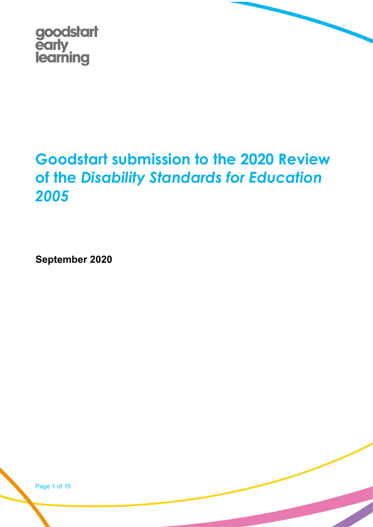

# Goodstart submission to the 2020 Review of the Disability Standards for Education 2005

September 2020

Page 1 of 16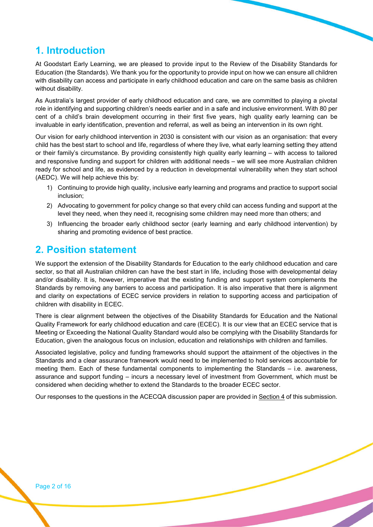# 1. Introduction

At Goodstart Early Learning, we are pleased to provide input to the Review of the Disability Standards for Education (the Standards). We thank you for the opportunity to provide input on how we can ensure all children with disability can access and participate in early childhood education and care on the same basis as children without disability.

As Australia's largest provider of early childhood education and care, we are committed to playing a pivotal role in identifying and supporting children's needs earlier and in a safe and inclusive environment. With 80 per cent of a child's brain development occurring in their first five years, high quality early learning can be invaluable in early identification, prevention and referral, as well as being an intervention in its own right.

Our vision for early childhood intervention in 2030 is consistent with our vision as an organisation: that every child has the best start to school and life, regardless of where they live, what early learning setting they attend or their family's circumstance. By providing consistently high quality early learning – with access to tailored and responsive funding and support for children with additional needs – we will see more Australian children ready for school and life, as evidenced by a reduction in developmental vulnerability when they start school (AEDC). We will help achieve this by:

- 1) Continuing to provide high quality, inclusive early learning and programs and practice to support social inclusion;
- 2) Advocating to government for policy change so that every child can access funding and support at the level they need, when they need it, recognising some children may need more than others; and
- 3) Influencing the broader early childhood sector (early learning and early childhood intervention) by sharing and promoting evidence of best practice.

# 2. Position statement

We support the extension of the Disability Standards for Education to the early childhood education and care sector, so that all Australian children can have the best start in life, including those with developmental delay and/or disability. It is, however, imperative that the existing funding and support system complements the Standards by removing any barriers to access and participation. It is also imperative that there is alignment and clarity on expectations of ECEC service providers in relation to supporting access and participation of children with disability in ECEC.

There is clear alignment between the objectives of the Disability Standards for Education and the National Quality Framework for early childhood education and care (ECEC). It is our view that an ECEC service that is Meeting or Exceeding the National Quality Standard would also be complying with the Disability Standards for Education, given the analogous focus on inclusion, education and relationships with children and families.

Associated legislative, policy and funding frameworks should support the attainment of the objectives in the Standards and a clear assurance framework would need to be implemented to hold services accountable for meeting them. Each of these fundamental components to implementing the Standards – i.e. awareness, assurance and support funding – incurs a necessary level of investment from Government, which must be considered when deciding whether to extend the Standards to the broader ECEC sector.

Our responses to the questions in the ACECQA discussion paper are provided in Section 4 of this submission.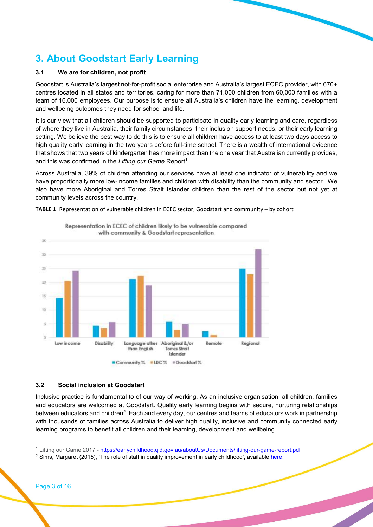# 3. About Goodstart Early Learning

#### 3.1 We are for children, not profit

Goodstart is Australia's largest not-for-profit social enterprise and Australia's largest ECEC provider, with 670+ centres located in all states and territories, caring for more than 71,000 children from 60,000 families with a team of 16,000 employees. Our purpose is to ensure all Australia's children have the learning, development and wellbeing outcomes they need for school and life.

It is our view that all children should be supported to participate in quality early learning and care, regardless of where they live in Australia, their family circumstances, their inclusion support needs, or their early learning setting. We believe the best way to do this is to ensure all children have access to at least two days access to high quality early learning in the two years before full-time school. There is a wealth of international evidence that shows that two years of kindergarten has more impact than the one year that Australian currently provides, and this was confirmed in the Lifting our Game Report<sup>1</sup>.

Across Australia, 39% of children attending our services have at least one indicator of vulnerability and we have proportionally more low-income families and children with disability than the community and sector. We also have more Aboriginal and Torres Strait Islander children than the rest of the sector but not yet at community levels across the country.





Representation in ECEC of children likely to be vulnerable compared

#### 3.2 Social inclusion at Goodstart

Inclusive practice is fundamental to of our way of working. As an inclusive organisation, all children, families and educators are welcomed at Goodstart. Quality early learning begins with secure, nurturing relationships between educators and children<sup>2</sup>. Each and every day, our centres and teams of educators work in partnership with thousands of families across Australia to deliver high quality, inclusive and community connected early learning programs to benefit all children and their learning, development and wellbeing.

-

<sup>1</sup> Lifting our Game 2017 - https://earlychildhood.qld.gov.au/aboutUs/Documents/lifting-our-game-report.pdf

 $2$  Sims, Margaret (2015), 'The role of staff in quality improvement in early childhood', available here.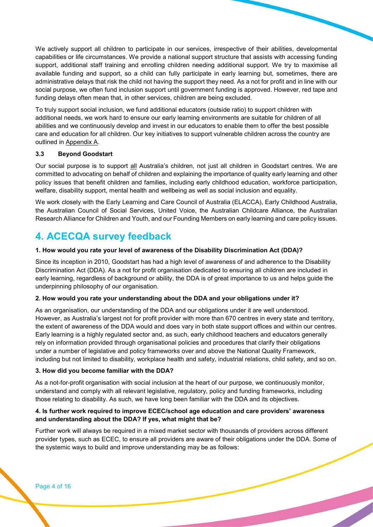We actively support all children to participate in our services, irrespective of their abilities, developmental capabilities or life circumstances. We provide a national support structure that assists with accessing funding support, additional staff training and enrolling children needing additional support. We try to maximise all available funding and support, so a child can fully participate in early learning but, sometimes, there are administrative delays that risk the child not having the support they need. As a not for profit and in line with our social purpose, we often fund inclusion support until government funding is approved. However, red tape and funding delays often mean that, in other services, children are being excluded.

To truly support social inclusion, we fund additional educators (outside ratio) to support children with additional needs, we work hard to ensure our early learning environments are suitable for children of all abilities and we continuously develop and invest in our educators to enable them to offer the best possible care and education for all children. Our key initiatives to support vulnerable children across the country are outlined in Appendix A.

#### 3.3 Beyond Goodstart

Our social purpose is to support all Australia's children, not just all children in Goodstart centres. We are committed to advocating on behalf of children and explaining the importance of quality early learning and other policy issues that benefit children and families, including early childhood education, workforce participation, welfare, disability support, mental health and wellbeing as well as social inclusion and equality.

We work closely with the Early Learning and Care Council of Australia (ELACCA), Early Childhood Australia, the Australian Council of Social Services, United Voice, the Australian Childcare Alliance, the Australian Research Alliance for Children and Youth, and our Founding Members on early learning and care policy issues.

# 4. ACECQA survey feedback

#### 1. How would you rate your level of awareness of the Disability Discrimination Act (DDA)?

Since its inception in 2010, Goodstart has had a high level of awareness of and adherence to the Disability Discrimination Act (DDA). As a not for profit organisation dedicated to ensuring all children are included in early learning, regardless of background or ability, the DDA is of great importance to us and helps guide the underpinning philosophy of our organisation.

#### 2. How would you rate your understanding about the DDA and your obligations under it?

As an organisation, our understanding of the DDA and our obligations under it are well understood. However, as Australia's largest not for profit provider with more than 670 centres in every state and territory, the extent of awareness of the DDA would and does vary in both state support offices and within our centres. Early learning is a highly regulated sector and, as such, early childhood teachers and educators generally rely on information provided through organisational policies and procedures that clarify their obligations under a number of legislative and policy frameworks over and above the National Quality Framework, including but not limited to disability, workplace health and safety, industrial relations, child safety, and so on.

#### 3. How did you become familiar with the DDA?

As a not-for-profit organisation with social inclusion at the heart of our purpose, we continuously monitor, understand and comply with all relevant legislative, regulatory, policy and funding frameworks, including those relating to disability. As such, we have long been familiar with the DDA and its objectives.

#### 4. Is further work required to improve ECEC/school age education and care providers' awareness and understanding about the DDA? If yes, what might that be?

Further work will always be required in a mixed market sector with thousands of providers across different provider types, such as ECEC, to ensure all providers are aware of their obligations under the DDA. Some of the systemic ways to build and improve understanding may be as follows: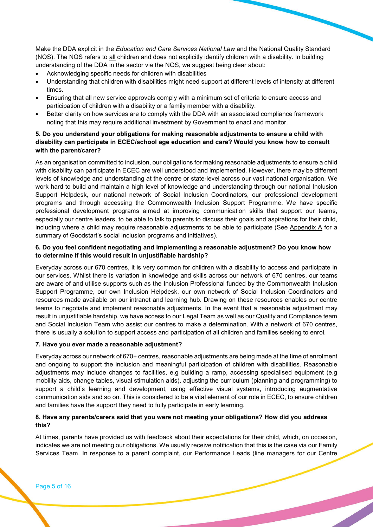Make the DDA explicit in the Education and Care Services National Law and the National Quality Standard (NQS). The NQS refers to all children and does not explicitly identify children with a disability. In building understanding of the DDA in the sector via the NQS, we suggest being clear about:

- Acknowledging specific needs for children with disabilities
- Understanding that children with disabilities might need support at different levels of intensity at different times.
- Ensuring that all new service approvals comply with a minimum set of criteria to ensure access and participation of children with a disability or a family member with a disability.
- Better clarity on how services are to comply with the DDA with an associated compliance framework noting that this may require additional investment by Government to enact and monitor.

#### 5. Do you understand your obligations for making reasonable adjustments to ensure a child with disability can participate in ECEC/school age education and care? Would you know how to consult with the parent/carer?

As an organisation committed to inclusion, our obligations for making reasonable adjustments to ensure a child with disability can participate in ECEC are well understood and implemented. However, there may be different levels of knowledge and understanding at the centre or state-level across our vast national organisation. We work hard to build and maintain a high level of knowledge and understanding through our national Inclusion Support Helpdesk, our national network of Social Inclusion Coordinators, our professional development programs and through accessing the Commonwealth Inclusion Support Programme. We have specific professional development programs aimed at improving communication skills that support our teams, especially our centre leaders, to be able to talk to parents to discuss their goals and aspirations for their child, including where a child may require reasonable adjustments to be able to participate (See Appendix A for a summary of Goodstart's social inclusion programs and initiatives).

#### 6. Do you feel confident negotiating and implementing a reasonable adjustment? Do you know how to determine if this would result in unjustifiable hardship?

Everyday across our 670 centres, it is very common for children with a disability to access and participate in our services. Whilst there is variation in knowledge and skills across our network of 670 centres, our teams are aware of and utilise supports such as the Inclusion Professional funded by the Commonwealth Inclusion Support Programme, our own Inclusion Helpdesk, our own network of Social Inclusion Coordinators and resources made available on our intranet and learning hub. Drawing on these resources enables our centre teams to negotiate and implement reasonable adjustments. In the event that a reasonable adjustment may result in unjustifiable hardship, we have access to our Legal Team as well as our Quality and Compliance team and Social Inclusion Team who assist our centres to make a determination. With a network of 670 centres, there is usually a solution to support access and participation of all children and families seeking to enrol.

#### 7. Have you ever made a reasonable adjustment?

Everyday across our network of 670+ centres, reasonable adjustments are being made at the time of enrolment and ongoing to support the inclusion and meaningful participation of children with disabilities. Reasonable adjustments may include changes to facilities, e.g building a ramp, accessing specialised equipment (e.g mobility aids, change tables, visual stimulation aids), adjusting the curriculum (planning and programming) to support a child's learning and development, using effective visual systems, introducing augmentative communication aids and so on. This is considered to be a vital element of our role in ECEC, to ensure children and families have the support they need to fully participate in early learning.

#### 8. Have any parents/carers said that you were not meeting your obligations? How did you address this?

At times, parents have provided us with feedback about their expectations for their child, which, on occasion, indicates we are not meeting our obligations. We usually receive notification that this is the case via our Family Services Team. In response to a parent complaint, our Performance Leads (line managers for our Centre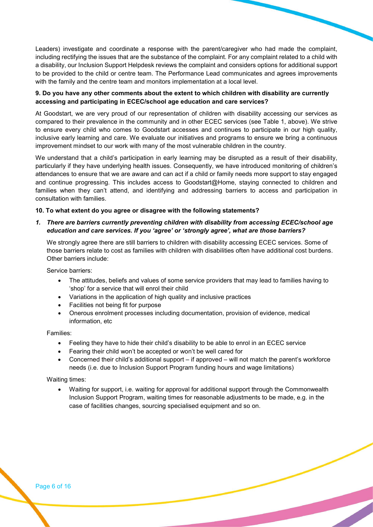Leaders) investigate and coordinate a response with the parent/caregiver who had made the complaint, including rectifying the issues that are the substance of the complaint. For any complaint related to a child with a disability, our Inclusion Support Helpdesk reviews the complaint and considers options for additional support to be provided to the child or centre team. The Performance Lead communicates and agrees improvements with the family and the centre team and monitors implementation at a local level.

#### 9. Do you have any other comments about the extent to which children with disability are currently accessing and participating in ECEC/school age education and care services?

At Goodstart, we are very proud of our representation of children with disability accessing our services as compared to their prevalence in the community and in other ECEC services (see Table 1, above). We strive to ensure every child who comes to Goodstart accesses and continues to participate in our high quality, inclusive early learning and care. We evaluate our initiatives and programs to ensure we bring a continuous improvement mindset to our work with many of the most vulnerable children in the country.

We understand that a child's participation in early learning may be disrupted as a result of their disability, particularly if they have underlying health issues. Consequently, we have introduced monitoring of children's attendances to ensure that we are aware and can act if a child or family needs more support to stay engaged and continue progressing. This includes access to Goodstart@Home, staying connected to children and families when they can't attend, and identifying and addressing barriers to access and participation in consultation with families.

#### 10. To what extent do you agree or disagree with the following statements?

#### 1. There are barriers currently preventing children with disability from accessing ECEC/school age education and care services. If you 'agree' or 'strongly agree', what are those barriers?

We strongly agree there are still barriers to children with disability accessing ECEC services. Some of those barriers relate to cost as families with children with disabilities often have additional cost burdens. Other barriers include:

Service barriers:

- The attitudes, beliefs and values of some service providers that may lead to families having to 'shop' for a service that will enrol their child
- Variations in the application of high quality and inclusive practices
- Facilities not being fit for purpose
- Onerous enrolment processes including documentation, provision of evidence, medical information, etc

Families:

- Feeling they have to hide their child's disability to be able to enrol in an ECEC service
- Fearing their child won't be accepted or won't be well cared for
- Concerned their child's additional support if approved will not match the parent's workforce needs (i.e. due to Inclusion Support Program funding hours and wage limitations)

Waiting times:

 Waiting for support, i.e. waiting for approval for additional support through the Commonwealth Inclusion Support Program, waiting times for reasonable adjustments to be made, e.g. in the case of facilities changes, sourcing specialised equipment and so on.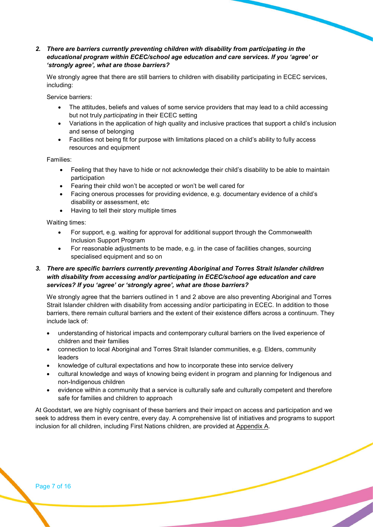#### 2. There are barriers currently preventing children with disability from participating in the educational program within ECEC/school age education and care services. If you 'agree' or 'strongly agree', what are those barriers?

We strongly agree that there are still barriers to children with disability participating in ECEC services, including:

Service barriers:

- The attitudes, beliefs and values of some service providers that may lead to a child accessing but not truly participating in their ECEC setting
- Variations in the application of high quality and inclusive practices that support a child's inclusion and sense of belonging
- Facilities not being fit for purpose with limitations placed on a child's ability to fully access resources and equipment

Families:

- Feeling that they have to hide or not acknowledge their child's disability to be able to maintain participation
- Fearing their child won't be accepted or won't be well cared for
- Facing onerous processes for providing evidence, e.g. documentary evidence of a child's disability or assessment, etc
- Having to tell their story multiple times

Waiting times:

- For support, e.g. waiting for approval for additional support through the Commonwealth Inclusion Support Program
- For reasonable adjustments to be made, e.g. in the case of facilities changes, sourcing specialised equipment and so on

#### 3. There are specific barriers currently preventing Aboriginal and Torres Strait Islander children with disability from accessing and/or participating in ECEC/school age education and care services? If you 'agree' or 'strongly agree', what are those barriers?

We strongly agree that the barriers outlined in 1 and 2 above are also preventing Aboriginal and Torres Strait Islander children with disability from accessing and/or participating in ECEC. In addition to those barriers, there remain cultural barriers and the extent of their existence differs across a continuum. They include lack of:

- understanding of historical impacts and contemporary cultural barriers on the lived experience of children and their families
- connection to local Aboriginal and Torres Strait Islander communities, e.g. Elders, community leaders
- knowledge of cultural expectations and how to incorporate these into service delivery
- cultural knowledge and ways of knowing being evident in program and planning for Indigenous and non-Indigenous children
- evidence within a community that a service is culturally safe and culturally competent and therefore safe for families and children to approach

At Goodstart, we are highly cognisant of these barriers and their impact on access and participation and we seek to address them in every centre, every day. A comprehensive list of initiatives and programs to support inclusion for all children, including First Nations children, are provided at Appendix A.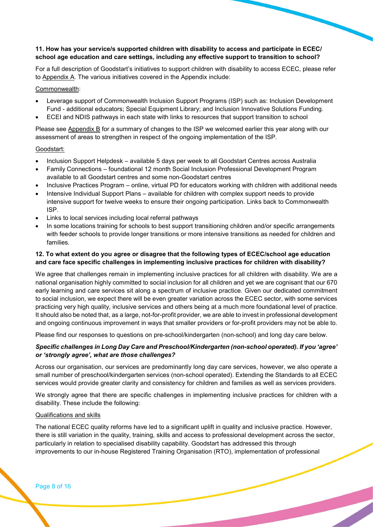#### 11. How has your service/s supported children with disability to access and participate in ECEC/ school age education and care settings, including any effective support to transition to school?

For a full description of Goodstart's initiatives to support children with disability to access ECEC, please refer to Appendix A. The various initiatives covered in the Appendix include:

#### Commonwealth:

- Leverage support of Commonwealth Inclusion Support Programs (ISP) such as: Inclusion Development Fund - additional educators; Special Equipment Library; and Inclusion Innovative Solutions Funding.
- ECEI and NDIS pathways in each state with links to resources that support transition to school

Please see Appendix B for a summary of changes to the ISP we welcomed earlier this year along with our assessment of areas to strengthen in respect of the ongoing implementation of the ISP.

#### Goodstart:

- Inclusion Support Helpdesk available 5 days per week to all Goodstart Centres across Australia
- Family Connections foundational 12 month Social Inclusion Professional Development Program available to all Goodstart centres and some non-Goodstart centres
- Inclusive Practices Program online, virtual PD for educators working with children with additional needs
- Intensive Individual Support Plans available for children with complex support needs to provide intensive support for twelve weeks to ensure their ongoing participation. Links back to Commonwealth ISP.
- Links to local services including local referral pathways
- In some locations training for schools to best support transitioning children and/or specific arrangements with feeder schools to provide longer transitions or more intensive transitions as needed for children and families.

#### 12. To what extent do you agree or disagree that the following types of ECEC/school age education and care face specific challenges in implementing inclusive practices for children with disability?

We agree that challenges remain in implementing inclusive practices for all children with disability. We are a national organisation highly committed to social inclusion for all children and yet we are cognisant that our 670 early learning and care services sit along a spectrum of inclusive practice. Given our dedicated commitment to social inclusion, we expect there will be even greater variation across the ECEC sector, with some services practicing very high quality, inclusive services and others being at a much more foundational level of practice. It should also be noted that, as a large, not-for-profit provider, we are able to invest in professional development and ongoing continuous improvement in ways that smaller providers or for-profit providers may not be able to.

Please find our responses to questions on pre-school/kindergarten (non-school) and long day care below.

#### Specific challenges in Long Day Care and Preschool/Kindergarten (non-school operated). If you 'agree' or 'strongly agree', what are those challenges?

Across our organisation, our services are predominantly long day care services, however, we also operate a small number of preschool/kindergarten services (non-school operated). Extending the Standards to all ECEC services would provide greater clarity and consistency for children and families as well as services providers.

We strongly agree that there are specific challenges in implementing inclusive practices for children with a disability. These include the following:

#### Qualifications and skills

The national ECEC quality reforms have led to a significant uplift in quality and inclusive practice. However, there is still variation in the quality, training, skills and access to professional development across the sector, particularly in relation to specialised disability capability. Goodstart has addressed this through improvements to our in-house Registered Training Organisation (RTO), implementation of professional

Page 8 of 16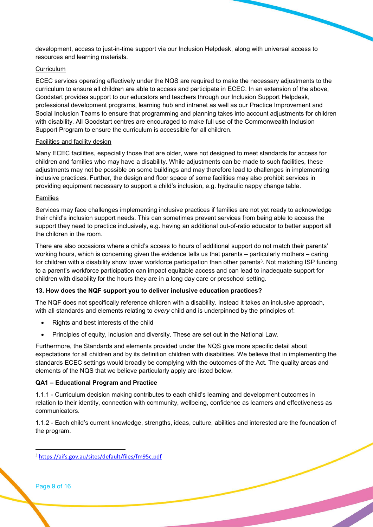development, access to just-in-time support via our Inclusion Helpdesk, along with universal access to resources and learning materials.

#### **Curriculum**

ECEC services operating effectively under the NQS are required to make the necessary adjustments to the curriculum to ensure all children are able to access and participate in ECEC. In an extension of the above, Goodstart provides support to our educators and teachers through our Inclusion Support Helpdesk, professional development programs, learning hub and intranet as well as our Practice Improvement and Social Inclusion Teams to ensure that programming and planning takes into account adjustments for children with disability. All Goodstart centres are encouraged to make full use of the Commonwealth Inclusion Support Program to ensure the curriculum is accessible for all children.

#### Facilities and facility design

Many ECEC facilities, especially those that are older, were not designed to meet standards for access for children and families who may have a disability. While adjustments can be made to such facilities, these adjustments may not be possible on some buildings and may therefore lead to challenges in implementing inclusive practices. Further, the design and floor space of some facilities may also prohibit services in providing equipment necessary to support a child's inclusion, e.g. hydraulic nappy change table.

#### Families

Services may face challenges implementing inclusive practices if families are not yet ready to acknowledge their child's inclusion support needs. This can sometimes prevent services from being able to access the support they need to practice inclusively, e.g. having an additional out-of-ratio educator to better support all the children in the room.

There are also occasions where a child's access to hours of additional support do not match their parents' working hours, which is concerning given the evidence tells us that parents – particularly mothers – caring for children with a disability show lower workforce participation than other parents<sup>3</sup>. Not matching ISP funding to a parent's workforce participation can impact equitable access and can lead to inadequate support for children with disability for the hours they are in a long day care or preschool setting.

#### 13. How does the NQF support you to deliver inclusive education practices?

The NQF does not specifically reference children with a disability. Instead it takes an inclusive approach, with all standards and elements relating to every child and is underpinned by the principles of:

- Rights and best interests of the child
- Principles of equity, inclusion and diversity. These are set out in the National Law.

Furthermore, the Standards and elements provided under the NQS give more specific detail about expectations for all children and by its definition children with disabilities. We believe that in implementing the standards ECEC settings would broadly be complying with the outcomes of the Act. The quality areas and elements of the NQS that we believe particularly apply are listed below.

#### QA1 – Educational Program and Practice

1.1.1 - Curriculum decision making contributes to each child's learning and development outcomes in relation to their identity, connection with community, wellbeing, confidence as learners and effectiveness as communicators.

1.1.2 - Each child's current knowledge, strengths, ideas, culture, abilities and interested are the foundation of the program.

Page 9 of 16

-

<sup>3</sup> https://aifs.gov.au/sites/default/files/fm95c.pdf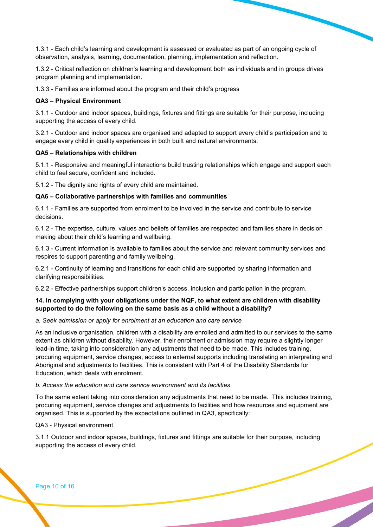1.3.1 - Each child's learning and development is assessed or evaluated as part of an ongoing cycle of observation, analysis, learning, documentation, planning, implementation and reflection.

1.3.2 - Critical reflection on children's learning and development both as individuals and in groups drives program planning and implementation.

1.3.3 - Families are informed about the program and their child's progress

#### QA3 – Physical Environment

3.1.1 - Outdoor and indoor spaces, buildings, fixtures and fittings are suitable for their purpose, including supporting the access of every child.

3.2.1 - Outdoor and indoor spaces are organised and adapted to support every child's participation and to engage every child in quality experiences in both built and natural environments.

#### QA5 – Relationships with children

5.1.1 - Responsive and meaningful interactions build trusting relationships which engage and support each child to feel secure, confident and included.

5.1.2 - The dignity and rights of every child are maintained.

#### QA6 – Collaborative partnerships with families and communities

6.1.1 - Families are supported from enrolment to be involved in the service and contribute to service decisions.

6.1.2 - The expertise, culture, values and beliefs of families are respected and families share in decision making about their child's learning and wellbeing.

6.1.3 - Current information is available to families about the service and relevant community services and respires to support parenting and family wellbeing.

6.2.1 - Continuity of learning and transitions for each child are supported by sharing information and clarifying responsibilities.

6.2.2 - Effective partnerships support children's access, inclusion and participation in the program.

#### 14. In complying with your obligations under the NQF, to what extent are children with disability supported to do the following on the same basis as a child without a disability?

#### a. Seek admission or apply for enrolment at an education and care service

As an inclusive organisation, children with a disability are enrolled and admitted to our services to the same extent as children without disability. However, their enrolment or admission may require a slightly longer lead-in time, taking into consideration any adjustments that need to be made. This includes training, procuring equipment, service changes, access to external supports including translating an interpreting and Aboriginal and adjustments to facilities. This is consistent with Part 4 of the Disability Standards for Education, which deals with enrolment.

#### b. Access the education and care service environment and its facilities

To the same extent taking into consideration any adjustments that need to be made. This includes training, procuring equipment, service changes and adjustments to facilities and how resources and equipment are organised. This is supported by the expectations outlined in QA3, specifically:

#### QA3 - Physical environment

3.1.1 Outdoor and indoor spaces, buildings, fixtures and fittings are suitable for their purpose, including supporting the access of every child.

Page 10 of 16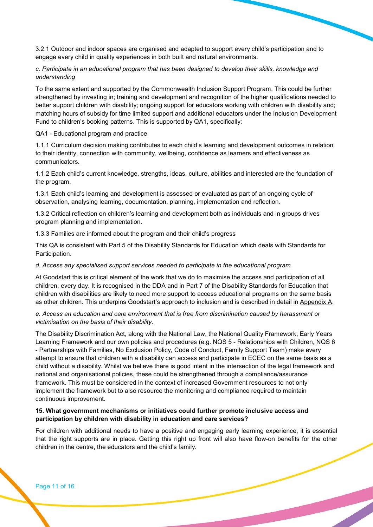3.2.1 Outdoor and indoor spaces are organised and adapted to support every child's participation and to engage every child in quality experiences in both built and natural environments.

#### c. Participate in an educational program that has been designed to develop their skills, knowledge and understanding

To the same extent and supported by the Commonwealth Inclusion Support Program. This could be further strengthened by investing in; training and development and recognition of the higher qualifications needed to better support children with disability; ongoing support for educators working with children with disability and; matching hours of subsidy for time limited support and additional educators under the Inclusion Development Fund to children's booking patterns. This is supported by QA1, specifically:

#### QA1 - Educational program and practice

1.1.1 Curriculum decision making contributes to each child's learning and development outcomes in relation to their identity, connection with community, wellbeing, confidence as learners and effectiveness as communicators.

1.1.2 Each child's current knowledge, strengths, ideas, culture, abilities and interested are the foundation of the program.

1.3.1 Each child's learning and development is assessed or evaluated as part of an ongoing cycle of observation, analysing learning, documentation, planning, implementation and reflection.

1.3.2 Critical reflection on children's learning and development both as individuals and in groups drives program planning and implementation.

1.3.3 Families are informed about the program and their child's progress

This QA is consistent with Part 5 of the Disability Standards for Education which deals with Standards for Participation.

#### d. Access any specialised support services needed to participate in the educational program

At Goodstart this is critical element of the work that we do to maximise the access and participation of all children, every day. It is recognised in the DDA and in Part 7 of the Disability Standards for Education that children with disabilities are likely to need more support to access educational programs on the same basis as other children. This underpins Goodstart's approach to inclusion and is described in detail in Appendix A.

#### e. Access an education and care environment that is free from discrimination caused by harassment or victimisation on the basis of their disability.

The Disability Discrimination Act, along with the National Law, the National Quality Framework, Early Years Learning Framework and our own policies and procedures (e.g. NQS 5 - Relationships with Children, NQS 6 - Partnerships with Families, No Exclusion Policy, Code of Conduct, Family Support Team) make every attempt to ensure that children with a disability can access and participate in ECEC on the same basis as a child without a disability. Whilst we believe there is good intent in the intersection of the legal framework and national and organisational policies, these could be strengthened through a compliance/assurance framework. This must be considered in the context of increased Government resources to not only implement the framework but to also resource the monitoring and compliance required to maintain continuous improvement.

#### 15. What government mechanisms or initiatives could further promote inclusive access and participation by children with disability in education and care services?

For children with additional needs to have a positive and engaging early learning experience, it is essential that the right supports are in place. Getting this right up front will also have flow-on benefits for the other children in the centre, the educators and the child's family.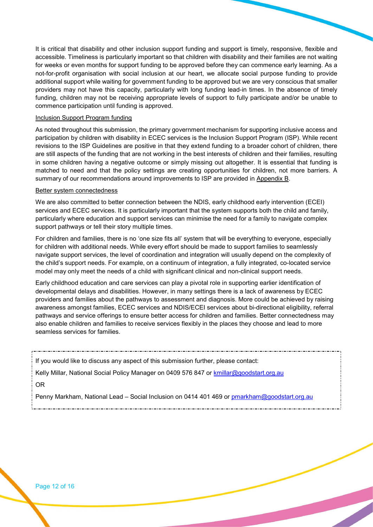It is critical that disability and other inclusion support funding and support is timely, responsive, flexible and accessible. Timeliness is particularly important so that children with disability and their families are not waiting for weeks or even months for support funding to be approved before they can commence early learning. As a not-for-profit organisation with social inclusion at our heart, we allocate social purpose funding to provide additional support while waiting for government funding to be approved but we are very conscious that smaller providers may not have this capacity, particularly with long funding lead-in times. In the absence of timely funding, children may not be receiving appropriate levels of support to fully participate and/or be unable to commence participation until funding is approved.

#### Inclusion Support Program funding

As noted throughout this submission, the primary government mechanism for supporting inclusive access and participation by children with disability in ECEC services is the Inclusion Support Program (ISP). While recent revisions to the ISP Guidelines are positive in that they extend funding to a broader cohort of children, there are still aspects of the funding that are not working in the best interests of children and their families, resulting in some children having a negative outcome or simply missing out altogether. It is essential that funding is matched to need and that the policy settings are creating opportunities for children, not more barriers. A summary of our recommendations around improvements to ISP are provided in Appendix B.

#### Better system connectedness

We are also committed to better connection between the NDIS, early childhood early intervention (ECEI) services and ECEC services. It is particularly important that the system supports both the child and family, particularly where education and support services can minimise the need for a family to navigate complex support pathways or tell their story multiple times.

For children and families, there is no 'one size fits all' system that will be everything to everyone, especially for children with additional needs. While every effort should be made to support families to seamlessly navigate support services, the level of coordination and integration will usually depend on the complexity of the child's support needs. For example, on a continuum of integration, a fully integrated, co-located service model may only meet the needs of a child with significant clinical and non-clinical support needs.

Early childhood education and care services can play a pivotal role in supporting earlier identification of developmental delays and disabilities. However, in many settings there is a lack of awareness by ECEC providers and families about the pathways to assessment and diagnosis. More could be achieved by raising awareness amongst families, ECEC services and NDIS/ECEI services about bi-directional eligibility, referral pathways and service offerings to ensure better access for children and families. Better connectedness may also enable children and families to receive services flexibly in the places they choose and lead to more seamless services for families.

If you would like to discuss any aspect of this submission further, please contact:

Kelly Millar, National Social Policy Manager on 0409 576 847 or kmillar@goodstart.org.au OR

Penny Markham, National Lead – Social Inclusion on 0414 401 469 or pmarkham@goodstart.org.au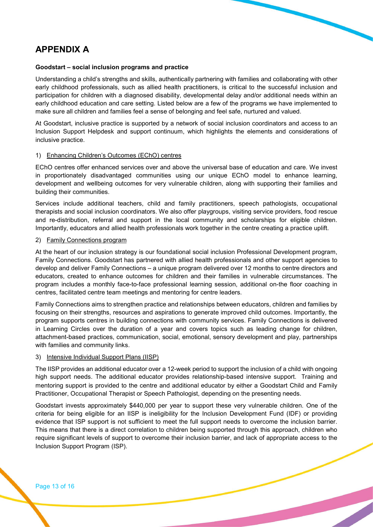# APPENDIX A

#### Goodstart – social inclusion programs and practice

Understanding a child's strengths and skills, authentically partnering with families and collaborating with other early childhood professionals, such as allied health practitioners, is critical to the successful inclusion and participation for children with a diagnosed disability, developmental delay and/or additional needs within an early childhood education and care setting. Listed below are a few of the programs we have implemented to make sure all children and families feel a sense of belonging and feel safe, nurtured and valued.

At Goodstart, inclusive practice is supported by a network of social inclusion coordinators and access to an Inclusion Support Helpdesk and support continuum, which highlights the elements and considerations of inclusive practice.

#### 1) Enhancing Children's Outcomes (EChO) centres

EChO centres offer enhanced services over and above the universal base of education and care. We invest in proportionately disadvantaged communities using our unique EChO model to enhance learning, development and wellbeing outcomes for very vulnerable children, along with supporting their families and building their communities.

Services include additional teachers, child and family practitioners, speech pathologists, occupational therapists and social inclusion coordinators. We also offer playgroups, visiting service providers, food rescue and re-distribution, referral and support in the local community and scholarships for eligible children. Importantly, educators and allied health professionals work together in the centre creating a practice uplift.

#### 2) Family Connections program

At the heart of our inclusion strategy is our foundational social inclusion Professional Development program, Family Connections. Goodstart has partnered with allied health professionals and other support agencies to develop and deliver Family Connections – a unique program delivered over 12 months to centre directors and educators, created to enhance outcomes for children and their families in vulnerable circumstances. The program includes a monthly face-to-face professional learning session, additional on-the floor coaching in centres, facilitated centre team meetings and mentoring for centre leaders.

Family Connections aims to strengthen practice and relationships between educators, children and families by focusing on their strengths, resources and aspirations to generate improved child outcomes. Importantly, the program supports centres in building connections with community services. Family Connections is delivered in Learning Circles over the duration of a year and covers topics such as leading change for children, attachment-based practices, communication, social, emotional, sensory development and play, partnerships with families and community links.

#### 3) Intensive Individual Support Plans (IISP)

The IISP provides an additional educator over a 12-week period to support the inclusion of a child with ongoing high support needs. The additional educator provides relationship-based intensive support. Training and mentoring support is provided to the centre and additional educator by either a Goodstart Child and Family Practitioner, Occupational Therapist or Speech Pathologist, depending on the presenting needs.

Goodstart invests approximately \$440,000 per year to support these very vulnerable children. One of the criteria for being eligible for an IISP is ineligibility for the Inclusion Development Fund (IDF) or providing evidence that ISP support is not sufficient to meet the full support needs to overcome the inclusion barrier. This means that there is a direct correlation to children being supported through this approach, children who require significant levels of support to overcome their inclusion barrier, and lack of appropriate access to the Inclusion Support Program (ISP).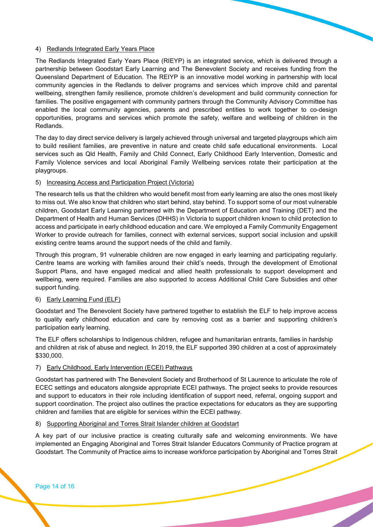#### 4) Redlands Integrated Early Years Place

The Redlands Integrated Early Years Place (RIEYP) is an integrated service, which is delivered through a partnership between Goodstart Early Learning and The Benevolent Society and receives funding from the Queensland Department of Education. The REIYP is an innovative model working in partnership with local community agencies in the Redlands to deliver programs and services which improve child and parental wellbeing, strengthen family resilience, promote children's development and build community connection for families. The positive engagement with community partners through the Community Advisory Committee has enabled the local community agencies, parents and prescribed entities to work together to co-design opportunities, programs and services which promote the safety, welfare and wellbeing of children in the Redlands.

The day to day direct service delivery is largely achieved through universal and targeted playgroups which aim to build resilient families, are preventive in nature and create child safe educational environments. Local services such as Qld Health, Family and Child Connect, Early Childhood Early Intervention, Domestic and Family Violence services and local Aboriginal Family Wellbeing services rotate their participation at the playgroups.

#### 5) Increasing Access and Participation Project (Victoria)

The research tells us that the children who would benefit most from early learning are also the ones most likely to miss out. We also know that children who start behind, stay behind. To support some of our most vulnerable children, Goodstart Early Learning partnered with the Department of Education and Training (DET) and the Department of Health and Human Services (DHHS) in Victoria to support children known to child protection to access and participate in early childhood education and care. We employed a Family Community Engagement Worker to provide outreach for families, connect with external services, support social inclusion and upskill existing centre teams around the support needs of the child and family.

Through this program, 91 vulnerable children are now engaged in early learning and participating regularly. Centre teams are working with families around their child's needs, through the development of Emotional Support Plans, and have engaged medical and allied health professionals to support development and wellbeing, were required. Families are also supported to access Additional Child Care Subsidies and other support funding.

#### 6) Early Learning Fund (ELF)

Goodstart and The Benevolent Society have partnered together to establish the ELF to help improve access to quality early childhood education and care by removing cost as a barrier and supporting children's participation early learning.

The ELF offers scholarships to Indigenous children, refugee and humanitarian entrants, families in hardship and children at risk of abuse and neglect. In 2019, the ELF supported 390 children at a cost of approximately \$330,000.

#### 7) Early Childhood, Early Intervention (ECEI) Pathways

Goodstart has partnered with The Benevolent Society and Brotherhood of St Laurence to articulate the role of ECEC settings and educators alongside appropriate ECEI pathways. The project seeks to provide resources and support to educators in their role including identification of support need, referral, ongoing support and support coordination. The project also outlines the practice expectations for educators as they are supporting children and families that are eligible for services within the ECEI pathway.

#### 8) Supporting Aboriginal and Torres Strait Islander children at Goodstart

A key part of our inclusive practice is creating culturally safe and welcoming environments. We have implemented an Engaging Aboriginal and Torres Strait Islander Educators Community of Practice program at Goodstart. The Community of Practice aims to increase workforce participation by Aboriginal and Torres Strait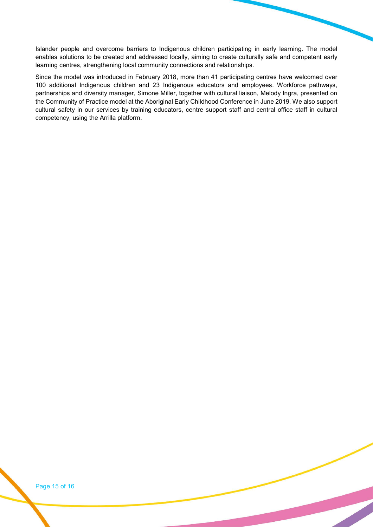Islander people and overcome barriers to Indigenous children participating in early learning. The model enables solutions to be created and addressed locally, aiming to create culturally safe and competent early learning centres, strengthening local community connections and relationships.

Since the model was introduced in February 2018, more than 41 participating centres have welcomed over 100 additional Indigenous children and 23 Indigenous educators and employees. Workforce pathways, partnerships and diversity manager, Simone Miller, together with cultural liaison, Melody Ingra, presented on the Community of Practice model at the Aboriginal Early Childhood Conference in June 2019. We also support cultural safety in our services by training educators, centre support staff and central office staff in cultural competency, using the Arrilla platform.

Page 15 of 16